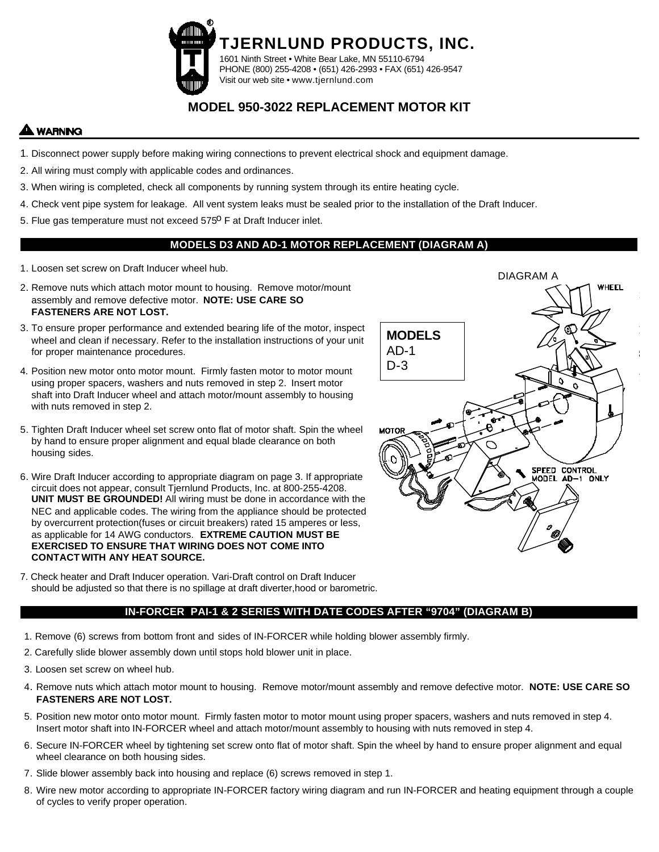

# **MODEL 950-3022 REPLACEMENT MOTOR KIT**

## **LWARNING**

- 1. Disconnect power supply before making wiring connections to prevent electrical shock and equipment damage.
- 2. All wiring must comply with applicable codes and ordinances.
- 3. When wiring is completed, check all components by running system through its entire heating cycle.
- 4. Check vent pipe system for leakage. All vent system leaks must be sealed prior to the installation of the Draft Inducer.
- 5. Flue gas temperature must not exceed 575<sup>0</sup> F at Draft Inducer inlet.

#### **MODELS D3 AND AD-1 MOTOR REPLACEMENT (DIAGRAM A)**

- 1. Loosen set screw on Draft Inducer wheel hub.
- 2. Remove nuts which attach motor mount to housing. Remove motor/mount assembly and remove defective motor. **NOTE: USE CARE SO FASTENERS ARE NOT LOST.**
- 3. To ensure proper performance and extended bearing life of the motor, inspect wheel and clean if necessary. Refer to the installation instructions of your unit for proper maintenance procedures.
- 4. Position new motor onto motor mount. Firmly fasten motor to motor mount using proper spacers, washers and nuts removed in step 2. Insert motor shaft into Draft Inducer wheel and attach motor/mount assembly to housing with nuts removed in step 2.
- 5. Tighten Draft Inducer wheel set screw onto flat of motor shaft. Spin the wheel by hand to ensure proper alignment and equal blade clearance on both housing sides.
- 6. Wire Draft Inducer according to appropriate diagram on page 3. If appropriate circuit does not appear, consult Tjernlund Products, Inc. at 800-255-4208. **UNIT MUST BE GROUNDED!** All wiring must be done in accordance with the NEC and applicable codes. The wiring from the appliance should be protected by overcurrent protection(fuses or circuit breakers) rated 15 amperes or less, as applicable for 14 AWG conductors. **EXTREME CAUTION MUST BE EXERCISED TO ENSURE THAT WIRING DOES NOT COME INTO CONTACT WITH ANY HEAT SOURCE.**
- 7. Check heater and Draft Inducer operation. Vari-Draft control on Draft Inducer should be adjusted so that there is no spillage at draft diverter,hood or barometric.

#### **IN-FORCER PAI-1 & 2 SERIES WITH DATE CODES AFTER "9704" (DIAGRAM B)**

- 1. Remove (6) screws from bottom front and sides of IN-FORCER while holding blower assembly firmly.
- 2. Carefully slide blower assembly down until stops hold blower unit in place.
- 3. Loosen set screw on wheel hub.
- 4. Remove nuts which attach motor mount to housing. Remove motor/mount assembly and remove defective motor. **NOTE: USE CARE SO FASTENERS ARE NOT LOST.**
- 5. Position new motor onto motor mount. Firmly fasten motor to motor mount using proper spacers, washers and nuts removed in step 4. Insert motor shaft into IN-FORCER wheel and attach motor/mount assembly to housing with nuts removed in step 4.
- 6. Secure IN-FORCER wheel by tightening set screw onto flat of motor shaft. Spin the wheel by hand to ensure proper alignment and equal wheel clearance on both housing sides.
- 7. Slide blower assembly back into housing and replace (6) screws removed in step 1.
- 8. Wire new motor according to appropriate IN-FORCER factory wiring diagram and run IN-FORCER and heating equipment through a couple of cycles to verify proper operation.

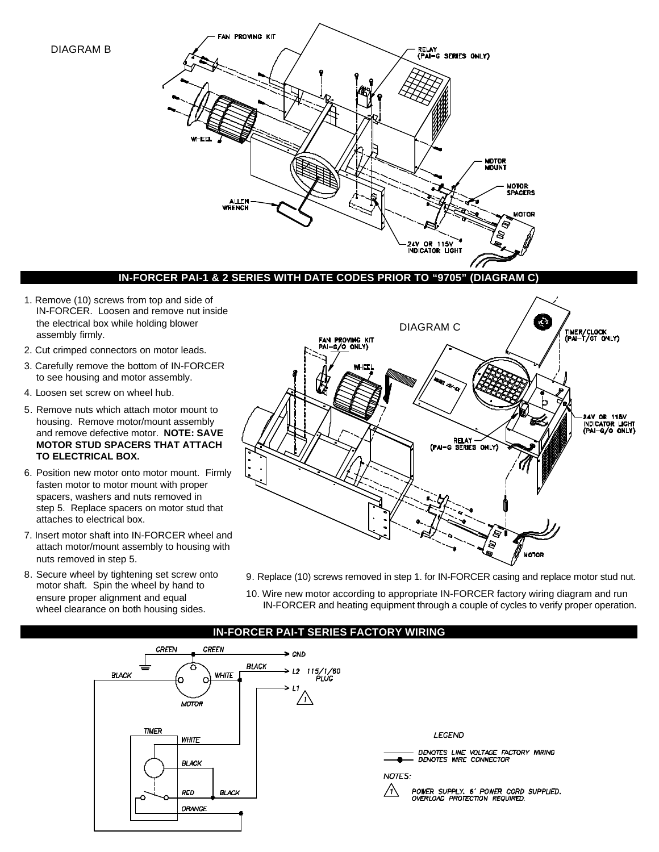#### DIAGRAM B



### **IN-FORCER PAI-1 & 2 SERIES WITH DATE CODES PRIOR TO "9705" (DIAGRAM C)**

- 1. Remove (10) screws from top and side of IN-FORCER. Loosen and remove nut inside the electrical box while holding blower assembly firmly.
- 2. Cut crimped connectors on motor leads.
- 3. Carefully remove the bottom of IN-FORCER to see housing and motor assembly.
- 4. Loosen set screw on wheel hub.
- 5. Remove nuts which attach motor mount to housing. Remove motor/mount assembly and remove defective motor. **NOTE: SAVE MOTOR STUD SPACERS THAT ATTACH TO ELECTRICAL BOX.**
- 6. Position new motor onto motor mount. Firmly fasten motor to motor mount with proper spacers, washers and nuts removed in step 5. Replace spacers on motor stud that attaches to electrical box.
- 7. Insert motor shaft into IN-FORCER wheel and attach motor/mount assembly to housing with nuts removed in step 5.
- 8. Secure wheel by tightening set screw onto motor shaft. Spin the wheel by hand to ensure proper alignment and equal wheel clearance on both housing sides.



- 9. Replace (10) screws removed in step 1. for IN-FORCER casing and replace motor stud nut.
- 10. Wire new motor according to appropriate IN-FORCER factory wiring diagram and run IN-FORCER and heating equipment through a couple of cycles to verify proper operation.